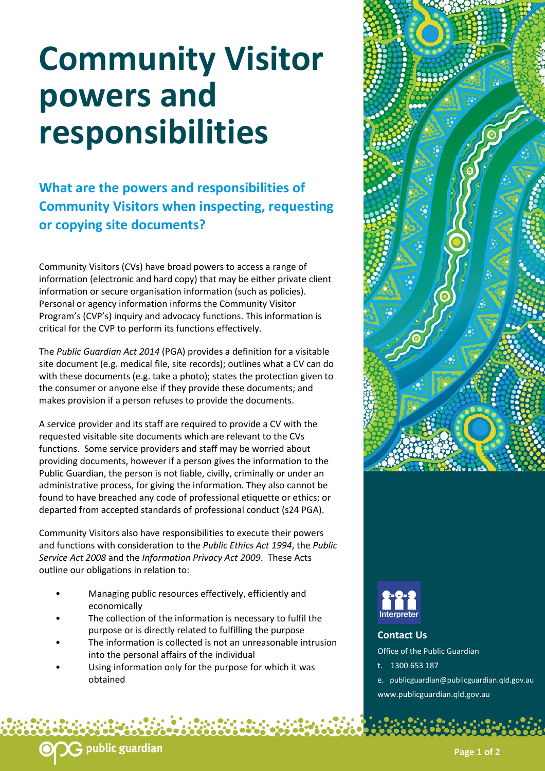## **Community Visitor powers and responsibilities**

**What are the powers and responsibilities of Community Visitors when inspecting, requesting or copying site documents?** 

Community Visitors (CVs) have broad powers to access a range of information (electronic and hard copy) that may be either private client information or secure organisation information (such as policies). Personal or agency information informs the Community Visitor Program's (CVP's) inquiry and advocacy functions. This information is critical for the CVP to perform its functions effectively.

The *Public Guardian Act 2014* (PGA) provides a definition for a visitable site document (e.g. medical file, site records); outlines what a CV can do with these documents (e.g. take a photo); states the protection given to the consumer or anyone else if they provide these documents; and makes provision if a person refuses to provide the documents.

A service provider and its staff are required to provide a CV with the requested visitable site documents which are relevant to the CVs functions. Some service providers and staff may be worried about providing documents, however if a person gives the information to the Public Guardian, the person is not liable, civilly, criminally or under an administrative process, for giving the information. They also cannot be found to have breached any code of professional etiquette or ethics; or departed from accepted standards of professional conduct (s24 PGA).

Community Visitors also have responsibilities to execute their powers and functions with consideration to the *Public Ethics Act 1994*, the *Public Service Act 2008* and the *Information Privacy Act 2009*. These Acts outline our obligations in relation to:

- Managing public resources effectively, efficiently and economically
- The collection of the information is necessary to fulfil the purpose or is directly related to fulfilling the purpose
- The information is collected is not an unreasonable intrusion into the personal affairs of the individual
- Using information only for the purpose for which it was obtained





**Contact Us**  Office of the Public Guardian t. 1300 653 187 e. publicguardian@publicguardian.qld.gov.au

www.publicguardian.qld.gov.au

**Page 1 of 2**